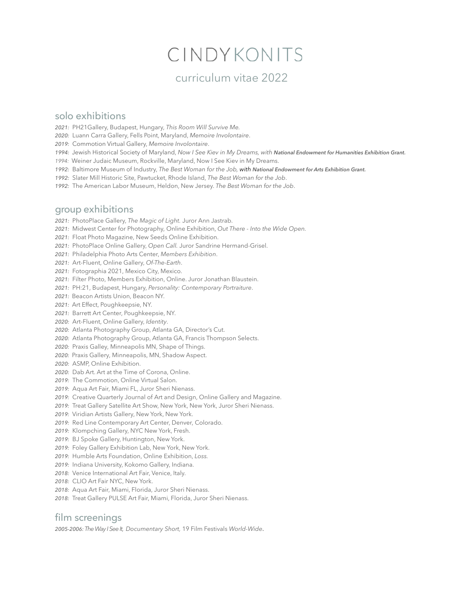# CINDYKONITS

### curriculum vitae 2022

#### solo exhibitions

*2021:* PH21Gallery, Budapest, Hungary, *This Room Will Survive Me.* 

- *2020:* Luann Carra Gallery, Fells Point, Maryland, *Memoire Involontaire*.
- *2019:* Commotion Virtual Gallery, *Memoire Involontaire*.
- 1994: Jewish Historical Society of Maryland, *Now I See Kiev in My Dreams, with National Endowment for Humanities Exhibition Grant.*
- *1994:* Weiner Judaic Museum, Rockville, Maryland, Now I See Kiev in My Dreams.
- 1992: Baltimore Museum of Industry, The Best Woman for the Job, with National Endowment for Arts Exhibition Grant.
- *1992:* Slater Mill Historic Site, Pawtucket, Rhode Island, *The Best Woman for the Job*.
- *1992:* The American Labor Museum, Heldon, New Jersey. *The Best Woman for the Job*.

#### group exhibitions

- *2021:* PhotoPlace Gallery, *The Magic of Light.* Juror Ann Jastrab.
- *2021:* Midwest Center for Photography, Online Exhibition, *Out There Into the Wide Open.*
- *2021:* Float Photo Magazine, New Seeds Online Exhibition.
- *2021:* PhotoPlace Online Gallery, *Open Call.* Juror Sandrine Hermand-Grisel.
- *2021:* Philadelphia Photo Arts Center, *Members Exhibition*.
- *2021:* Art-Fluent, Online Gallery, *Of-The-Earth*.
- *2021:* Fotographia 2021, Mexico City, Mexico.
- *2021:* Filter Photo, Members Exhibition, Online. Juror Jonathan Blaustein.
- *2021:* PH:21, Budapest, Hungary, *Personality: Contemporary Portraiture*.
- *2021:* Beacon Artists Union, Beacon NY.
- *2021:* Art Effect, Poughkeepsie, NY.
- *2021:*Barrett Art Center, Poughkeepsie, NY.
- *2020:* Art-Fluent, Online Gallery, *Identity*.
- *2020:* Atlanta Photography Group, Atlanta GA, Director's Cut.
- *2020:*Atlanta Photography Group, Atlanta GA, Francis Thompson Selects.
- *2020:* Praxis Galley, Minneapolis MN, Shape of Things.
- *2020:* Praxis Gallery, Minneapolis, MN, Shadow Aspect.
- *2020:*ASMP, Online Exhibition.
- *2020:* Dab Art. Art at the Time of Corona, Online.
- *2019:*The Commotion, Online Virtual Salon.
- *2019:*Aqua Art Fair, Miami FL, Juror Sheri Nienass.
- *2019:* Creative Quarterly Journal of Art and Design, Online Gallery and Magazine.
- *2019:*Treat Gallery Satellite Art Show, New York, New York, Juror Sheri Nienass.
- *2019:* Viridian Artists Gallery, New York, New York.
- 2019: Red Line Contemporary Art Center, Denver, Colorado.
- *2019:* Klompching Gallery, NYC New York, Fresh.
- *2019:* BJ Spoke Gallery, Huntington, New York.
- *2019:* Foley Gallery Exhibition Lab, New York, New York.
- *2019:* Humble Arts Foundation, Online Exhibition, *Loss.*
- *2019:* Indiana University, Kokomo Gallery, Indiana.
- *2018:* Venice International Art Fair, Venice, Italy.
- *2018:* CLIO Art Fair NYC, New York.
- *2018:* Aqua Art Fair, Miami, Florida, Juror Sheri Nienass.
- *2018:* Treat Gallery PULSE Art Fair, Miami, Florida, Juror Sheri Nienass.

#### film screenings

*2005-2006: The Way I See It, Documentary Short,* 19 Film Festivals *World-Wide*.